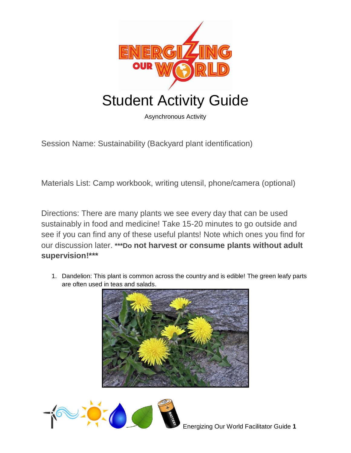

Asynchronous Activity

Session Name: Sustainability (Backyard plant identification)

Materials List: Camp workbook, writing utensil, phone/camera (optional)

Directions: There are many plants we see every day that can be used sustainably in food and medicine! Take 15-20 minutes to go outside and see if you can find any of these useful plants! Note which ones you find for our discussion later. **\*\*\*Do not harvest or consume plants without adult supervision!\*\*\***

1. Dandelion: This plant is common across the country and is edible! The green leafy parts are often used in teas and salads.



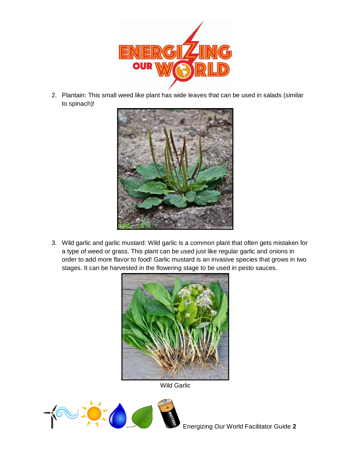

2. Plantain: This small weed like plant has wide leaves that can be used in salads (similar to spinach)!



3. Wild garlic and garlic mustard: Wild garlic is a common plant that often gets mistaken for a type of weed or grass. This plant can be used just like regular garlic and onions in order to add more flavor to food! Garlic mustard is an invasive species that grows in two stages. It can be harvested in the flowering stage to be used in pesto sauces.



Wild Garlic

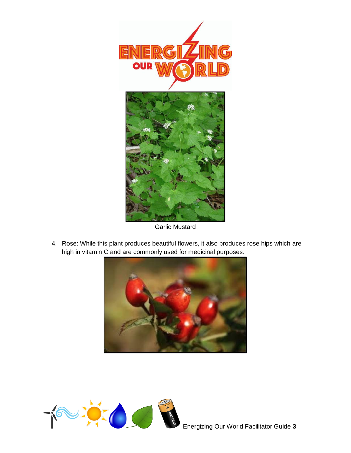

Garlic Mustard

4. Rose: While this plant produces beautiful flowers, it also produces rose hips which are high in vitamin C and are commonly used for medicinal purposes.